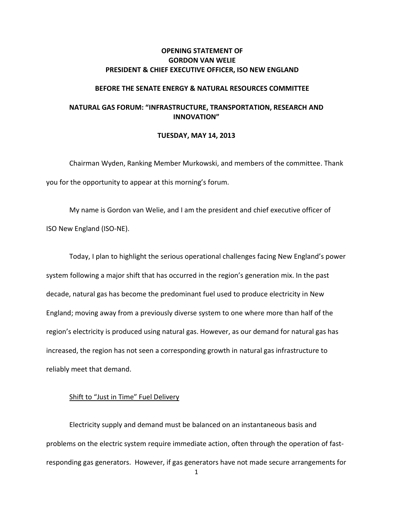# **OPENING STATEMENT OF GORDON VAN WELIE PRESIDENT & CHIEF EXECUTIVE OFFICER, ISO NEW ENGLAND**

### **BEFORE THE SENATE ENERGY & NATURAL RESOURCES COMMITTEE**

# **NATURAL GAS FORUM: "INFRASTRUCTURE, TRANSPORTATION, RESEARCH AND INNOVATION"**

#### **TUESDAY, MAY 14, 2013**

Chairman Wyden, Ranking Member Murkowski, and members of the committee. Thank you for the opportunity to appear at this morning's forum.

My name is Gordon van Welie, and I am the president and chief executive officer of ISO New England (ISO-NE).

Today, I plan to highlight the serious operational challenges facing New England's power system following a major shift that has occurred in the region's generation mix. In the past decade, natural gas has become the predominant fuel used to produce electricity in New England; moving away from a previously diverse system to one where more than half of the region's electricity is produced using natural gas. However, as our demand for natural gas has increased, the region has not seen a corresponding growth in natural gas infrastructure to reliably meet that demand.

## Shift to "Just in Time" Fuel Delivery

Electricity supply and demand must be balanced on an instantaneous basis and problems on the electric system require immediate action, often through the operation of fastresponding gas generators. However, if gas generators have not made secure arrangements for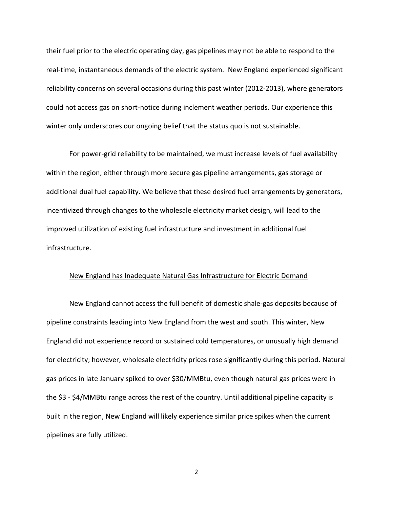their fuel prior to the electric operating day, gas pipelines may not be able to respond to the real-time, instantaneous demands of the electric system. New England experienced significant reliability concerns on several occasions during this past winter (2012-2013), where generators could not access gas on short-notice during inclement weather periods. Our experience this winter only underscores our ongoing belief that the status quo is not sustainable.

For power-grid reliability to be maintained, we must increase levels of fuel availability within the region, either through more secure gas pipeline arrangements, gas storage or additional dual fuel capability. We believe that these desired fuel arrangements by generators, incentivized through changes to the wholesale electricity market design, will lead to the improved utilization of existing fuel infrastructure and investment in additional fuel infrastructure.

### New England has Inadequate Natural Gas Infrastructure for Electric Demand

New England cannot access the full benefit of domestic shale-gas deposits because of pipeline constraints leading into New England from the west and south. This winter, New England did not experience record or sustained cold temperatures, or unusually high demand for electricity; however, wholesale electricity prices rose significantly during this period. Natural gas prices in late January spiked to over \$30/MMBtu, even though natural gas prices were in the \$3 - \$4/MMBtu range across the rest of the country. Until additional pipeline capacity is built in the region, New England will likely experience similar price spikes when the current pipelines are fully utilized.

2